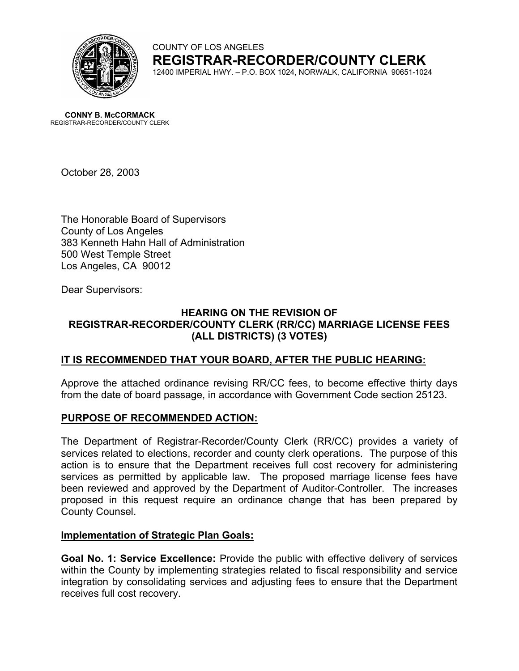

### COUNTY OF LOS ANGELES **REGISTRAR-RECORDER/COUNTY CLERK** 12400 IMPERIAL HWY. – P.O. BOX 1024, NORWALK, CALIFORNIA 90651-1024

**CONNY B. McCORMACK** REGISTRAR-RECORDER/COUNTY CLERK

October 28, 2003

The Honorable Board of Supervisors County of Los Angeles 383 Kenneth Hahn Hall of Administration 500 West Temple Street Los Angeles, CA 90012

Dear Supervisors:

## **HEARING ON THE REVISION OF REGISTRAR-RECORDER/COUNTY CLERK (RR/CC) MARRIAGE LICENSE FEES (ALL DISTRICTS) (3 VOTES)**

## **IT IS RECOMMENDED THAT YOUR BOARD, AFTER THE PUBLIC HEARING:**

Approve the attached ordinance revising RR/CC fees, to become effective thirty days from the date of board passage, in accordance with Government Code section 25123.

## **PURPOSE OF RECOMMENDED ACTION:**

The Department of Registrar-Recorder/County Clerk (RR/CC) provides a variety of services related to elections, recorder and county clerk operations. The purpose of this action is to ensure that the Department receives full cost recovery for administering services as permitted by applicable law. The proposed marriage license fees have been reviewed and approved by the Department of Auditor-Controller. The increases proposed in this request require an ordinance change that has been prepared by County Counsel.

#### **Implementation of Strategic Plan Goals:**

**Goal No. 1: Service Excellence:** Provide the public with effective delivery of services within the County by implementing strategies related to fiscal responsibility and service integration by consolidating services and adjusting fees to ensure that the Department receives full cost recovery.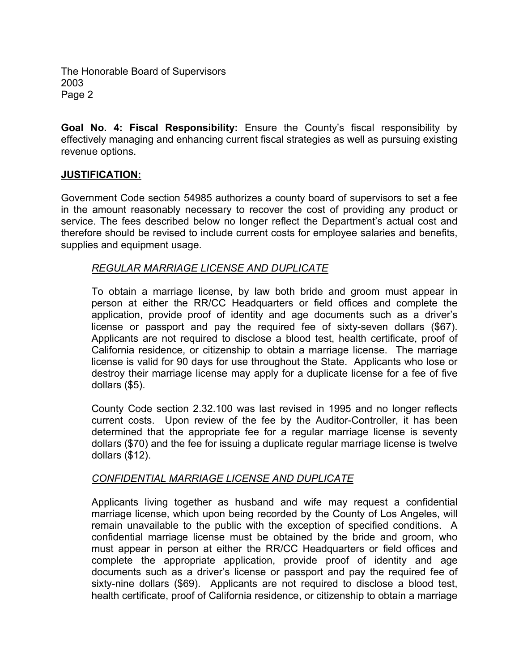The Honorable Board of Supervisors 2003 Page 2

**Goal No. 4: Fiscal Responsibility:** Ensure the County's fiscal responsibility by effectively managing and enhancing current fiscal strategies as well as pursuing existing revenue options.

# **JUSTIFICATION:**

Government Code section 54985 authorizes a county board of supervisors to set a fee in the amount reasonably necessary to recover the cost of providing any product or service. The fees described below no longer reflect the Department's actual cost and therefore should be revised to include current costs for employee salaries and benefits, supplies and equipment usage.

## *REGULAR MARRIAGE LICENSE AND DUPLICATE*

To obtain a marriage license, by law both bride and groom must appear in person at either the RR/CC Headquarters or field offices and complete the application, provide proof of identity and age documents such as a driver's license or passport and pay the required fee of sixty-seven dollars (\$67). Applicants are not required to disclose a blood test, health certificate, proof of California residence, or citizenship to obtain a marriage license. The marriage license is valid for 90 days for use throughout the State. Applicants who lose or destroy their marriage license may apply for a duplicate license for a fee of five dollars (\$5).

County Code section 2.32.100 was last revised in 1995 and no longer reflects current costs. Upon review of the fee by the Auditor-Controller, it has been determined that the appropriate fee for a regular marriage license is seventy dollars (\$70) and the fee for issuing a duplicate regular marriage license is twelve dollars (\$12).

## *CONFIDENTIAL MARRIAGE LICENSE AND DUPLICATE*

Applicants living together as husband and wife may request a confidential marriage license, which upon being recorded by the County of Los Angeles, will remain unavailable to the public with the exception of specified conditions. A confidential marriage license must be obtained by the bride and groom, who must appear in person at either the RR/CC Headquarters or field offices and complete the appropriate application, provide proof of identity and age documents such as a driver's license or passport and pay the required fee of sixty-nine dollars (\$69). Applicants are not required to disclose a blood test, health certificate, proof of California residence, or citizenship to obtain a marriage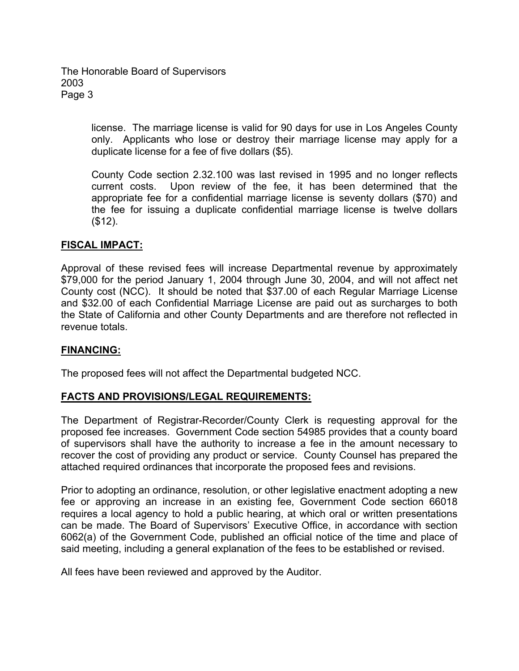The Honorable Board of Supervisors 2003 Page 3

> license. The marriage license is valid for 90 days for use in Los Angeles County only. Applicants who lose or destroy their marriage license may apply for a duplicate license for a fee of five dollars (\$5).

> County Code section 2.32.100 was last revised in 1995 and no longer reflects current costs. Upon review of the fee, it has been determined that the appropriate fee for a confidential marriage license is seventy dollars (\$70) and the fee for issuing a duplicate confidential marriage license is twelve dollars (\$12).

### **FISCAL IMPACT:**

Approval of these revised fees will increase Departmental revenue by approximately \$79,000 for the period January 1, 2004 through June 30, 2004, and will not affect net County cost (NCC). It should be noted that \$37.00 of each Regular Marriage License and \$32.00 of each Confidential Marriage License are paid out as surcharges to both the State of California and other County Departments and are therefore not reflected in revenue totals.

#### **FINANCING:**

The proposed fees will not affect the Departmental budgeted NCC.

## **FACTS AND PROVISIONS/LEGAL REQUIREMENTS:**

The Department of Registrar-Recorder/County Clerk is requesting approval for the proposed fee increases. Government Code section 54985 provides that a county board of supervisors shall have the authority to increase a fee in the amount necessary to recover the cost of providing any product or service. County Counsel has prepared the attached required ordinances that incorporate the proposed fees and revisions.

Prior to adopting an ordinance, resolution, or other legislative enactment adopting a new fee or approving an increase in an existing fee, Government Code section 66018 requires a local agency to hold a public hearing, at which oral or written presentations can be made. The Board of Supervisors' Executive Office, in accordance with section 6062(a) of the Government Code, published an official notice of the time and place of said meeting, including a general explanation of the fees to be established or revised.

All fees have been reviewed and approved by the Auditor.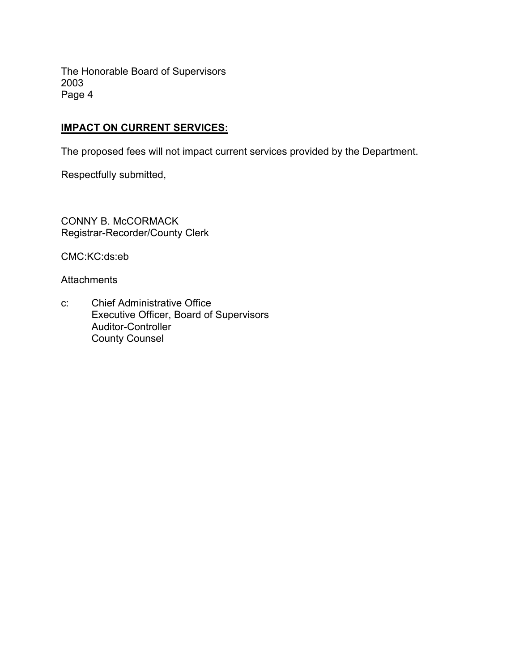The Honorable Board of Supervisors 2003 Page 4

# **IMPACT ON CURRENT SERVICES:**

The proposed fees will not impact current services provided by the Department.

Respectfully submitted,

CONNY B. McCORMACK Registrar-Recorder/County Clerk

CMC:KC:ds:eb

**Attachments** 

c: Chief Administrative Office Executive Officer, Board of Supervisors Auditor-Controller County Counsel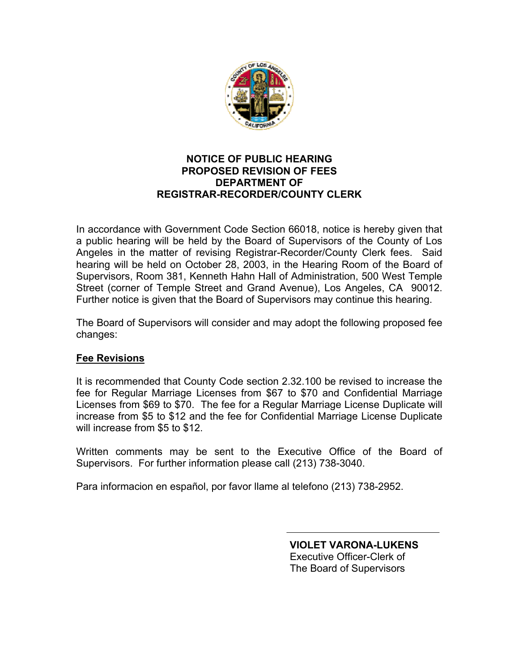

# **NOTICE OF PUBLIC HEARING PROPOSED REVISION OF FEES DEPARTMENT OF REGISTRAR-RECORDER/COUNTY CLERK**

In accordance with Government Code Section 66018, notice is hereby given that a public hearing will be held by the Board of Supervisors of the County of Los Angeles in the matter of revising Registrar-Recorder/County Clerk fees. Said hearing will be held on October 28, 2003, in the Hearing Room of the Board of Supervisors, Room 381, Kenneth Hahn Hall of Administration, 500 West Temple Street (corner of Temple Street and Grand Avenue), Los Angeles, CA 90012. Further notice is given that the Board of Supervisors may continue this hearing.

The Board of Supervisors will consider and may adopt the following proposed fee changes:

# **Fee Revisions**

It is recommended that County Code section 2.32.100 be revised to increase the fee for Regular Marriage Licenses from \$67 to \$70 and Confidential Marriage Licenses from \$69 to \$70. The fee for a Regular Marriage License Duplicate will increase from \$5 to \$12 and the fee for Confidential Marriage License Duplicate will increase from \$5 to \$12.

Written comments may be sent to the Executive Office of the Board of Supervisors. For further information please call (213) 738-3040.

Para informacion en español, por favor llame al telefono (213) 738-2952.

**VIOLET VARONA-LUKENS**  Executive Officer-Clerk of The Board of Supervisors